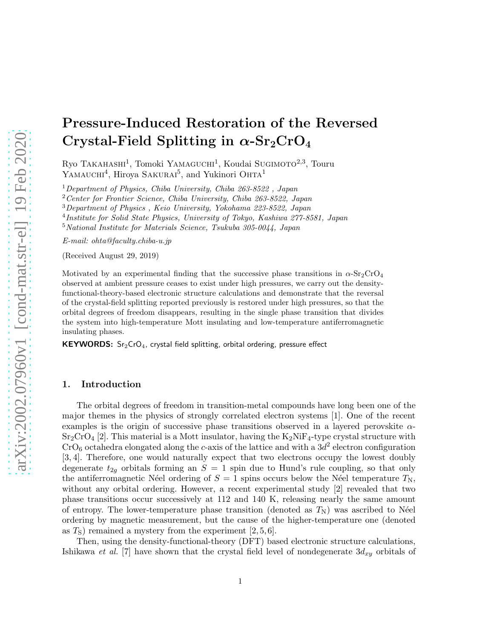# arXiv:2002.07960v1 [cond-mat.str-el] 19 Feb 2020 [arXiv:2002.07960v1 \[cond-mat.str-el\] 19 Feb 2020](http://arxiv.org/abs/2002.07960v1)

# Pressure-Induced Restoration of the Reversed Crystal-Field Splitting in  $\alpha$ -Sr<sub>2</sub>CrO<sub>4</sub>

Ryo TAKAHASHI<sup>1</sup>, Tomoki YAMAGUCHI<sup>1</sup>, Koudai SUGIMOTO<sup>2,3</sup>, Touru YAMAUCHI<sup>4</sup>, Hiroya SAKURAI<sup>5</sup>, and Yukinori OHTA<sup>1</sup>

<sup>1</sup>*Department of Physics, Chiba University, Chiba 263-8522 , Japan*

<sup>2</sup>*Center for Frontier Science, Chiba University, Chiba 263-8522, Japan*

<sup>3</sup>*Department of Physics , Keio University, Yokohama 223-8522, Japan*

4 *Institute for Solid State Physics, University of Tokyo, Kashiwa 277-8581, Japan*

<sup>5</sup>*National Institute for Materials Science, Tsukuba 305-0044, Japan*

*E-mail: ohta@faculty.chiba-u.jp*

(Received August 29, 2019)

Motivated by an experimental finding that the successive phase transitions in  $\alpha$ -Sr<sub>2</sub>CrO<sub>4</sub> observed at ambient pressure ceases to exist under high pressures, we carry out the densityfunctional-theory-based electronic structure calculations and demonstrate that the reversal of the crystal-field splitting reported previously is restored under high pressures, so that the orbital degrees of freedom disappears, resulting in the single phase transition that divides the system into high-temperature Mott insulating and low-temperature antiferromagnetic insulating phases.

KEYWORDS: Sr<sub>2</sub>CrO<sub>4</sub>, crystal field splitting, orbital ordering, pressure effect

# 1. Introduction

The orbital degrees of freedom in transition-metal compounds have long been one of the major themes in the physics of strongly correlated electron systems [1]. One of the recent examples is the origin of successive phase transitions observed in a layered perovskite  $\alpha$ - $Sr<sub>2</sub>CrO<sub>4</sub>$  [2]. This material is a Mott insulator, having the  $K<sub>2</sub>NiF<sub>4</sub>$ -type crystal structure with  $\overline{\text{CrO}_6}$  octahedra elongated along the c-axis of the lattice and with a  $3d^2$  electron configuration [3, 4]. Therefore, one would naturally expect that two electrons occupy the lowest doubly degenerate  $t_{2q}$  orbitals forming an  $S = 1$  spin due to Hund's rule coupling, so that only the antiferromagnetic Néel ordering of  $S = 1$  spins occurs below the Néel temperature  $T_N$ , without any orbital ordering. However, a recent experimental study [2] revealed that two phase transitions occur successively at 112 and 140 K, releasing nearly the same amount of entropy. The lower-temperature phase transition (denoted as  $T_N$ ) was ascribed to Néel ordering by magnetic measurement, but the cause of the higher-temperature one (denoted as  $T<sub>S</sub>$ ) remained a mystery from the experiment [2, 5, 6].

Then, using the density-functional-theory (DFT) based electronic structure calculations, Ishikawa *et al.* [7] have shown that the crystal field level of nondegenerate  $3d_{xy}$  orbitals of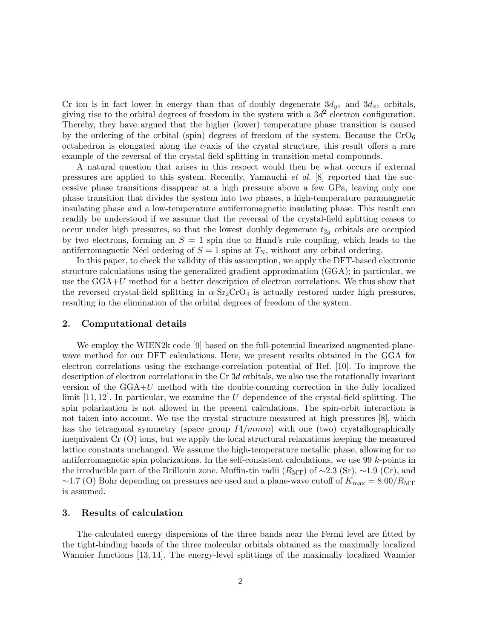Cr ion is in fact lower in energy than that of doubly degenerate  $3d_{yz}$  and  $3d_{xz}$  orbitals, giving rise to the orbital degrees of freedom in the system with a  $3d^2$  electron configuration. Thereby, they have argued that the higher (lower) temperature phase transition is caused by the ordering of the orbital (spin) degrees of freedom of the system. Because the  $CrO<sub>6</sub>$ octahedron is elongated along the c-axis of the crystal structure, this result offers a rare example of the reversal of the crystal-field splitting in transition-metal compounds.

A natural question that arises in this respect would then be what occurs if external pressures are applied to this system. Recently, Yamauchi *et al.* [8] reported that the successive phase transitions disappear at a high pressure above a few GPa, leaving only one phase transition that divides the system into two phases, a high-temperature paramagnetic insulating phase and a low-temperature antiferromagnetic insulating phase. This result can readily be understood if we assume that the reversal of the crystal-field splitting ceases to occur under high pressures, so that the lowest doubly degenerate  $t_{2g}$  orbitals are occupied by two electrons, forming an  $S = 1$  spin due to Hund's rule coupling, which leads to the antiferromagnetic Néel ordering of  $S = 1$  spins at  $T<sub>N</sub>$ , without any orbital ordering.

In this paper, to check the validity of this assumption, we apply the DFT-based electronic structure calculations using the generalized gradient approximation (GGA); in particular, we use the  $GGA+U$  method for a better description of electron correlations. We thus show that the reversed crystal-field splitting in  $\alpha$ -Sr<sub>2</sub>CrO<sub>4</sub> is actually restored under high pressures, resulting in the elimination of the orbital degrees of freedom of the system.

# 2. Computational details

We employ the WIEN2k code [9] based on the full-potential linearized augmented-planewave method for our DFT calculations. Here, we present results obtained in the GGA for electron correlations using the exchange-correlation potential of Ref. [10]. To improve the description of electron correlations in the Cr 3d orbitals, we also use the rotationally invariant version of the  $GGA+U$  method with the double-counting correction in the fully localized limit  $[11, 12]$ . In particular, we examine the U dependence of the crystal-field splitting. The spin polarization is not allowed in the present calculations. The spin-orbit interaction is not taken into account. We use the crystal structure measured at high pressures [8], which has the tetragonal symmetry (space group  $I4/mmm$ ) with one (two) crystallographically inequivalent Cr (O) ions, but we apply the local structural relaxations keeping the measured lattice constants unchanged. We assume the high-temperature metallic phase, allowing for no antiferromagnetic spin polarizations. In the self-consistent calculations, we use 99 k-points in the irreducible part of the Brillouin zone. Muffin-tin radii  $(R_{\text{MT}})$  of ∼2.3 (Sr), ∼1.9 (Cr), and  $\sim$ 1.7 (O) Bohr depending on pressures are used and a plane-wave cutoff of  $K_{\rm max} = 8.00/R_{\rm MT}$ is assumed.

# 3. Results of calculation

The calculated energy dispersions of the three bands near the Fermi level are fitted by the tight-binding bands of the three molecular orbitals obtained as the maximally localized Wannier functions [13, 14]. The energy-level splittings of the maximally localized Wannier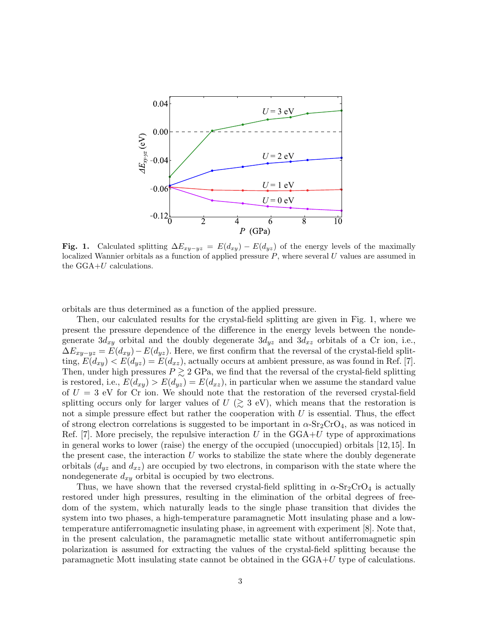

Fig. 1. Calculated splitting  $\Delta E_{xy-yz} = E(d_{xy}) - E(d_{yz})$  of the energy levels of the maximally localized Wannier orbitals as a function of applied pressure  $P$ , where several  $U$  values are assumed in the  $GGA+U$  calculations.

orbitals are thus determined as a function of the applied pressure.

Then, our calculated results for the crystal-field splitting are given in Fig. 1, where we present the pressure dependence of the difference in the energy levels between the nondegenerate  $3d_{xy}$  orbital and the doubly degenerate  $3d_{yz}$  and  $3d_{xz}$  orbitals of a Cr ion, i.e.,  $\Delta E_{xy-yz} = E(d_{xy}) - E(d_{yz})$ . Here, we first confirm that the reversal of the crystal-field splitting,  $E(d_{xy}) < E(d_{yz}) = E(d_{xz})$ , actually occurs at ambient pressure, as was found in Ref. [7]. Then, under high pressures  $P \gtrsim 2$  GPa, we find that the reversal of the crystal-field splitting is restored, i.e.,  $E(d_{xy}) > E(d_{yz}) = E(d_{xz})$ , in particular when we assume the standard value of  $U = 3$  eV for Cr ion. We should note that the restoration of the reversed crystal-field splitting occurs only for larger values of  $U$  ( $\gtrsim$  3 eV), which means that the restoration is not a simple pressure effect but rather the cooperation with  $U$  is essential. Thus, the effect of strong electron correlations is suggested to be important in  $\alpha$ -Sr<sub>2</sub>CrO<sub>4</sub>, as was noticed in Ref. [7]. More precisely, the repulsive interaction U in the  $GGA+U$  type of approximations in general works to lower (raise) the energy of the occupied (unoccupied) orbitals [12, 15]. In the present case, the interaction  $U$  works to stabilize the state where the doubly degenerate orbitals  $(d_{yz}$  and  $d_{xz})$  are occupied by two electrons, in comparison with the state where the nondegenerate  $d_{xy}$  orbital is occupied by two electrons.

Thus, we have shown that the reversed crystal-field splitting in  $\alpha$ -Sr<sub>2</sub>CrO<sub>4</sub> is actually restored under high pressures, resulting in the elimination of the orbital degrees of freedom of the system, which naturally leads to the single phase transition that divides the system into two phases, a high-temperature paramagnetic Mott insulating phase and a lowtemperature antiferromagnetic insulating phase, in agreement with experiment [8]. Note that, in the present calculation, the paramagnetic metallic state without antiferromagnetic spin polarization is assumed for extracting the values of the crystal-field splitting because the paramagnetic Mott insulating state cannot be obtained in the GGA+U type of calculations.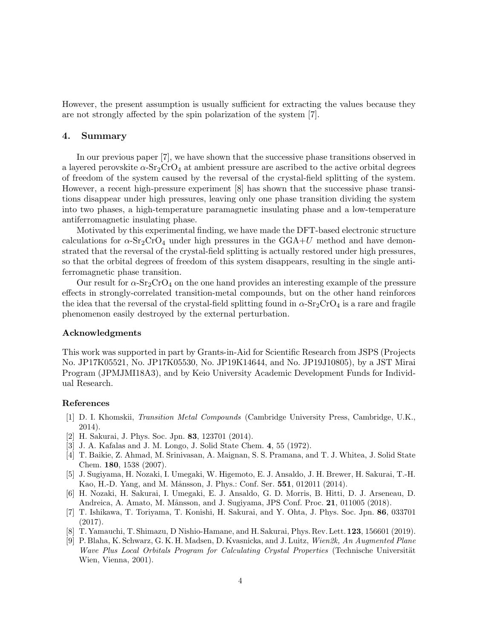However, the present assumption is usually sufficient for extracting the values because they are not strongly affected by the spin polarization of the system [7].

### 4. Summary

In our previous paper [7], we have shown that the successive phase transitions observed in a layered perovskite  $\alpha$ -Sr<sub>2</sub>CrO<sub>4</sub> at ambient pressure are ascribed to the active orbital degrees of freedom of the system caused by the reversal of the crystal-field splitting of the system. However, a recent high-pressure experiment [8] has shown that the successive phase transitions disappear under high pressures, leaving only one phase transition dividing the system into two phases, a high-temperature paramagnetic insulating phase and a low-temperature antiferromagnetic insulating phase.

Motivated by this experimental finding, we have made the DFT-based electronic structure calculations for  $\alpha$ -Sr<sub>2</sub>CrO<sub>4</sub> under high pressures in the GGA+U method and have demonstrated that the reversal of the crystal-field splitting is actually restored under high pressures, so that the orbital degrees of freedom of this system disappears, resulting in the single antiferromagnetic phase transition.

Our result for  $\alpha$ -Sr<sub>2</sub>CrO<sub>4</sub> on the one hand provides an interesting example of the pressure effects in strongly-correlated transition-metal compounds, but on the other hand reinforces the idea that the reversal of the crystal-field splitting found in  $\alpha$ -Sr<sub>2</sub>CrO<sub>4</sub> is a rare and fragile phenomenon easily destroyed by the external perturbation.

### Acknowledgments

This work was supported in part by Grants-in-Aid for Scientific Research from JSPS (Projects No. JP17K05521, No. JP17K05530, No. JP19K14644, and No. JP19J10805), by a JST Mirai Program (JPMJMI18A3), and by Keio University Academic Development Funds for Individual Research.

### References

- [1] D. I. Khomskii, *Transition Metal Compounds* (Cambridge University Press, Cambridge, U.K., 2014).
- [2] H. Sakurai, J. Phys. Soc. Jpn. 83, 123701 (2014).
- [3] J. A. Kafalas and J. M. Longo, J. Solid State Chem. 4, 55 (1972).
- [4] T. Baikie, Z. Ahmad, M. Srinivasan, A. Maignan, S. S. Pramana, and T. J. Whitea, J. Solid State Chem. 180, 1538 (2007).
- [5] J. Sugiyama, H. Nozaki, I. Umegaki, W. Higemoto, E. J. Ansaldo, J. H. Brewer, H. Sakurai, T.-H. Kao, H.-D. Yang, and M. Månsson, J. Phys.: Conf. Ser. 551, 012011 (2014).
- [6] H. Nozaki, H. Sakurai, I. Umegaki, E. J. Ansaldo, G. D. Morris, B. Hitti, D. J. Arseneau, D. Andreica, A. Amato, M. Månsson, and J. Sugiyama, JPS Conf. Proc. 21, 011005 (2018).
- [7] T. Ishikawa, T. Toriyama, T. Konishi, H. Sakurai, and Y. Ohta, J. Phys. Soc. Jpn. 86, 033701 (2017).
- [8] T. Yamauchi, T. Shimazu, D Nishio-Hamane, and H. Sakurai, Phys.Rev. Lett. 123, 156601 (2019).
- [9] P. Blaha, K. Schwarz, G. K. H. Madsen, D. Kvasnicka, and J. Luitz, *Wien2k, An Augmented Plane Wave Plus Local Orbitals Program for Calculating Crystal Properties* (Technische Universität Wien, Vienna, 2001).